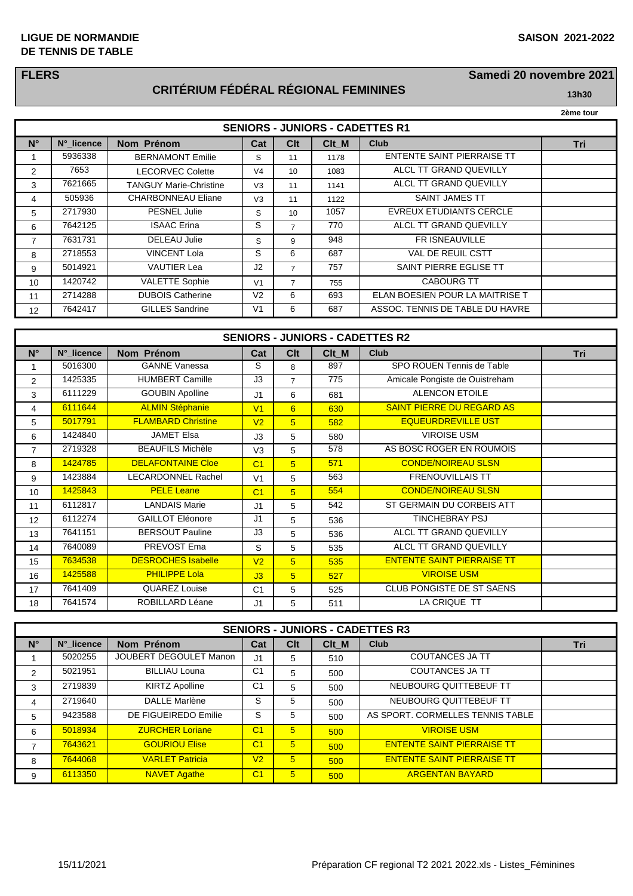#### **LIGUE DE NORMANDIE SAISON 2021-2022 DE TENNIS DE TABLE**

### **FLERS**

# **CRITÉRIUM FÉDÉRAL RÉGIONAL FEMININES 13h30**

**Samedi 20 novembre 2021**

| 2ème tour |
|-----------|
|           |

| <b>SENIORS - JUNIORS - CADETTES R1</b> |            |                               |                |                 |       |                                   |     |  |
|----------------------------------------|------------|-------------------------------|----------------|-----------------|-------|-----------------------------------|-----|--|
| $N^{\circ}$                            | N° licence | Nom Prénom                    | Cat            | C <sub>It</sub> | Clt M | Club                              | Tri |  |
|                                        | 5936338    | <b>BERNAMONT Emilie</b>       | S              | 11              | 1178  | <b>ENTENTE SAINT PIERRAISE TT</b> |     |  |
| 2                                      | 7653       | <b>LECORVEC Colette</b>       | V <sub>4</sub> | 10              | 1083  | ALCL TT GRAND QUEVILLY            |     |  |
| 3                                      | 7621665    | <b>TANGUY Marie-Christine</b> | V <sub>3</sub> | 11              | 1141  | ALCL TT GRAND QUEVILLY            |     |  |
| 4                                      | 505936     | <b>CHARBONNEAU Eliane</b>     | V <sub>3</sub> | 11              | 1122  | <b>SAINT JAMES TT</b>             |     |  |
| 5                                      | 2717930    | <b>PESNEL Julie</b>           | S              | 10              | 1057  | <b>EVREUX ETUDIANTS CERCLE</b>    |     |  |
| 6                                      | 7642125    | <b>ISAAC</b> Erina            | S              | 7               | 770   | ALCL TT GRAND QUEVILLY            |     |  |
| $\overline{7}$                         | 7631731    | <b>DELEAU Julie</b>           | S              | 9               | 948   | FR ISNEAUVILLE                    |     |  |
| 8                                      | 2718553    | <b>VINCENT Lola</b>           | S              | 6               | 687   | <b>VAL DE REUIL CSTT</b>          |     |  |
| 9                                      | 5014921    | <b>VAUTIER Lea</b>            | J <sub>2</sub> | $\overline{7}$  | 757   | SAINT PIERRE EGLISE TT            |     |  |
| 10                                     | 1420742    | <b>VALETTE Sophie</b>         | V <sub>1</sub> | 7               | 755   | <b>CABOURG TT</b>                 |     |  |
| 11                                     | 2714288    | <b>DUBOIS Catherine</b>       | V <sub>2</sub> | 6               | 693   | ELAN BOESIEN POUR LA MAITRISE T   |     |  |
| 12                                     | 7642417    | <b>GILLES</b> Sandrine        | V <sub>1</sub> | 6               | 687   | ASSOC. TENNIS DE TABLE DU HAVRE   |     |  |

| <b>SENIORS - JUNIORS - CADETTES R2</b> |            |                           |                |                 |       |                                   |     |  |
|----------------------------------------|------------|---------------------------|----------------|-----------------|-------|-----------------------------------|-----|--|
| $N^{\circ}$                            | N°_licence | Nom Prénom                | Cat            | Clt             | Clt M | <b>Club</b>                       | Tri |  |
| 1                                      | 5016300    | <b>GANNE Vanessa</b>      | S              | 8               | 897   | SPO ROUEN Tennis de Table         |     |  |
| 2                                      | 1425335    | <b>HUMBERT Camille</b>    | J3             | $\overline{7}$  | 775   | Amicale Pongiste de Ouistreham    |     |  |
| 3                                      | 6111229    | <b>GOUBIN Apolline</b>    | J1             | 6               | 681   | <b>ALENCON ETOILE</b>             |     |  |
| 4                                      | 6111644    | <b>ALMIN Stéphanie</b>    | V <sub>1</sub> | 6               | 630   | <b>SAINT PIERRE DU REGARD AS</b>  |     |  |
| 5                                      | 5017791    | <b>FLAMBARD Christine</b> | V <sub>2</sub> | $5\overline{)}$ | 582   | <b>EQUEURDREVILLE UST</b>         |     |  |
| 6                                      | 1424840    | <b>JAMET Elsa</b>         | J3             | 5               | 580   | <b>VIROISE USM</b>                |     |  |
| $\overline{7}$                         | 2719328    | <b>BEAUFILS Michèle</b>   | V <sub>3</sub> | 5               | 578   | AS BOSC ROGER EN ROUMOIS          |     |  |
| 8                                      | 1424785    | <b>DELAFONTAINE Cloe</b>  | C <sub>1</sub> | $\sqrt{5}$      | 571   | <b>CONDE/NOIREAU SLSN</b>         |     |  |
| 9                                      | 1423884    | LECARDONNEL Rachel        | V <sub>1</sub> | 5               | 563   | <b>FRENOUVILLAIS TT</b>           |     |  |
| 10                                     | 1425843    | <b>PELE Leane</b>         | C <sub>1</sub> | $5\overline{)}$ | 554   | <b>CONDE/NOIREAU SLSN</b>         |     |  |
| 11                                     | 6112817    | <b>LANDAIS Marie</b>      | J1             | 5               | 542   | ST GERMAIN DU CORBEIS ATT         |     |  |
| 12                                     | 6112274    | <b>GAILLOT Eléonore</b>   | J1             | 5               | 536   | <b>TINCHEBRAY PSJ</b>             |     |  |
| 13                                     | 7641151    | <b>BERSOUT Pauline</b>    | J3             | 5               | 536   | ALCL TT GRAND QUEVILLY            |     |  |
| 14                                     | 7640089    | PREVOST Ema               | S              | 5               | 535   | ALCL TT GRAND QUEVILLY            |     |  |
| 15                                     | 7634538    | <b>DESROCHES Isabelle</b> | V <sub>2</sub> | 5               | 535   | <b>ENTENTE SAINT PIERRAISE TT</b> |     |  |
| 16                                     | 1425588    | <b>PHILIPPE Lola</b>      | J3             | $5\overline{)}$ | 527   | <b>VIROISE USM</b>                |     |  |
| 17                                     | 7641409    | QUAREZ Louise             | C <sub>1</sub> | 5               | 525   | CLUB PONGISTE DE ST SAENS         |     |  |
| 18                                     | 7641574    | ROBILLARD Léane           | J1             | 5               | 511   | LA CRIQUE TT                      |     |  |

| <b>SENIORS - JUNIORS - CADETTES R3</b> |            |                        |                |                 |       |                                   |     |  |
|----------------------------------------|------------|------------------------|----------------|-----------------|-------|-----------------------------------|-----|--|
| $N^{\circ}$                            | N°_licence | Nom Prénom             | Cat            | Clt             | Clt M | <b>Club</b>                       | Tri |  |
|                                        | 5020255    | JOUBERT DEGOULET Manon | J <sub>1</sub> | 5               | 510   | <b>COUTANCES JA TT</b>            |     |  |
| $\overline{2}$                         | 5021951    | <b>BILLIAU Louna</b>   | C <sub>1</sub> | 5               | 500   | <b>COUTANCES JA TT</b>            |     |  |
| 3                                      | 2719839    | <b>KIRTZ Apolline</b>  | C <sub>1</sub> | 5               | 500   | NEUBOURG QUITTEBEUF TT            |     |  |
| 4                                      | 2719640    | <b>DALLE Marlène</b>   | S              | 5               | 500   | NEUBOURG QUITTEBEUF TT            |     |  |
| 5                                      | 9423588    | DE FIGUEIREDO Emilie   | S              | 5               | 500   | AS SPORT. CORMELLES TENNIS TABLE  |     |  |
| 6                                      | 5018934    | <b>ZURCHER Loriane</b> | C <sub>1</sub> | 5               | 500   | <b>VIROISE USM</b>                |     |  |
|                                        | 7643621    | <b>GOURIOU Elise</b>   | C <sub>1</sub> | 5               | 500   | <b>ENTENTE SAINT PIERRAISE TT</b> |     |  |
| 8                                      | 7644068    | <b>VARLET Patricia</b> | V <sub>2</sub> | 5               | 500   | <b>ENTENTE SAINT PIERRAISE TT</b> |     |  |
| 9                                      | 6113350    | <b>NAVET Agathe</b>    | C <sub>1</sub> | $5\overline{)}$ | 500   | <b>ARGENTAN BAYARD</b>            |     |  |